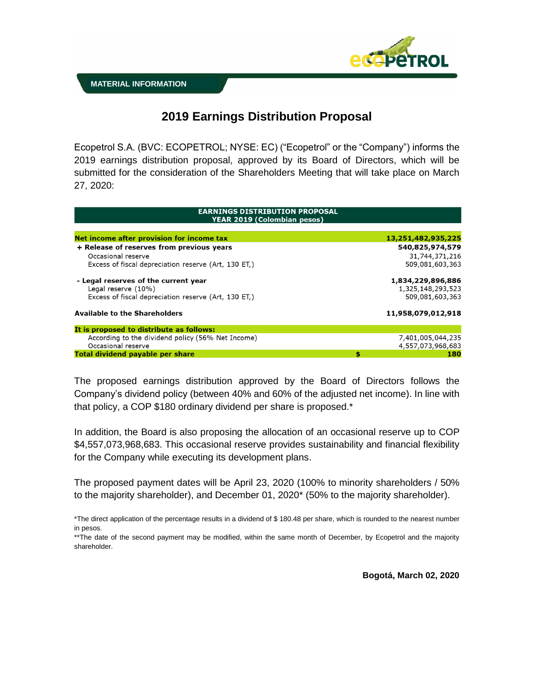

## **2019 Earnings Distribution Proposal**

Ecopetrol S.A. (BVC: ECOPETROL; NYSE: EC) ("Ecopetrol" or the "Company") informs the 2019 earnings distribution proposal, approved by its Board of Directors, which will be submitted for the consideration of the Shareholders Meeting that will take place on March 27, 2020:

| <b>EARNINGS DISTRIBUTION PROPOSAL</b><br><b>YEAR 2019 (Colombian pesos)</b> |    |                    |
|-----------------------------------------------------------------------------|----|--------------------|
|                                                                             |    |                    |
| Net income after provision for income tax                                   |    | 13,251,482,935,225 |
| + Release of reserves from previous years                                   |    | 540,825,974,579    |
| Occasional reserve                                                          |    | 31,744,371,216     |
| Excess of fiscal depreciation reserve (Art, 130 ET,)                        |    | 509,081,603,363    |
| - Legal reserves of the current year                                        |    | 1,834,229,896,886  |
| Legal reserve (10%)                                                         |    | 1,325,148,293,523  |
| Excess of fiscal depreciation reserve (Art, 130 ET.)                        |    | 509,081,603,363    |
| <b>Available to the Shareholders</b>                                        |    | 11,958,079,012,918 |
| It is proposed to distribute as follows:                                    |    |                    |
| According to the dividend policy (56% Net Income)                           |    | 7,401,005,044,235  |
| Occasional reserve                                                          |    | 4,557,073,968,683  |
| <b>Total dividend pavable per share</b>                                     | \$ | 180                |

The proposed earnings distribution approved by the Board of Directors follows the Company's dividend policy (between 40% and 60% of the adjusted net income). In line with that policy, a COP \$180 ordinary dividend per share is proposed.\*

In addition, the Board is also proposing the allocation of an occasional reserve up to COP \$4,557,073,968,683. This occasional reserve provides sustainability and financial flexibility for the Company while executing its development plans.

The proposed payment dates will be April 23, 2020 (100% to minority shareholders / 50% to the majority shareholder), and December 01, 2020\* (50% to the majority shareholder).

**Bogotá, March 02, 2020**

<sup>\*</sup>The direct application of the percentage results in a dividend of \$ 180.48 per share, which is rounded to the nearest number in pesos.

<sup>\*\*</sup>The date of the second payment may be modified, within the same month of December, by Ecopetrol and the majority shareholder.